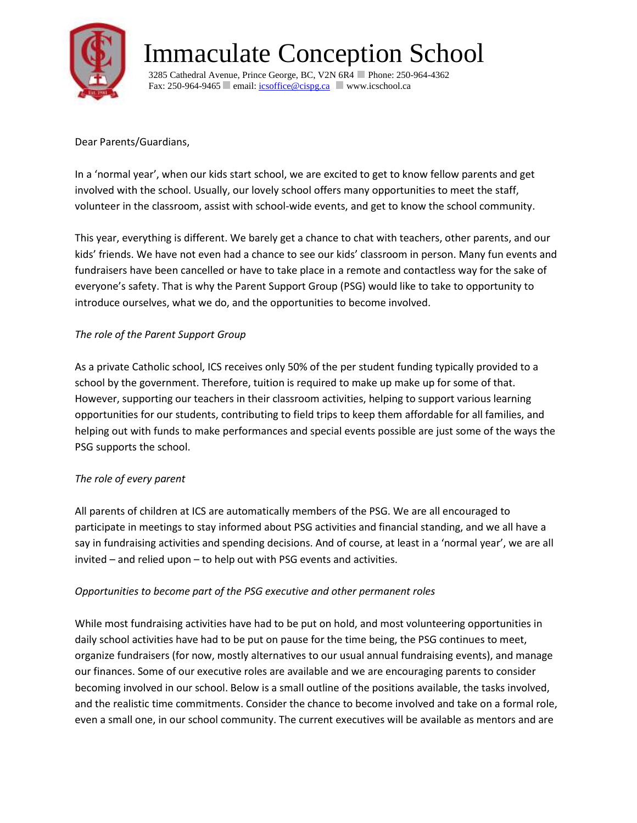

### Immaculate Conception School

3285 Cathedral Avenue, Prince George, BC, V2N 6R4 Phone: 250-964-4362 Fax: 250-964-9465 email: [icsoffice@cispg.ca](mailto:icsoffice@cispg.ca) www.icschool.ca

#### Dear Parents/Guardians,

In a 'normal year', when our kids start school, we are excited to get to know fellow parents and get involved with the school. Usually, our lovely school offers many opportunities to meet the staff, volunteer in the classroom, assist with school-wide events, and get to know the school community.

This year, everything is different. We barely get a chance to chat with teachers, other parents, and our kids' friends. We have not even had a chance to see our kids' classroom in person. Many fun events and fundraisers have been cancelled or have to take place in a remote and contactless way for the sake of everyone's safety. That is why the Parent Support Group (PSG) would like to take to opportunity to introduce ourselves, what we do, and the opportunities to become involved.

#### *The role of the Parent Support Group*

As a private Catholic school, ICS receives only 50% of the per student funding typically provided to a school by the government. Therefore, tuition is required to make up make up for some of that. However, supporting our teachers in their classroom activities, helping to support various learning opportunities for our students, contributing to field trips to keep them affordable for all families, and helping out with funds to make performances and special events possible are just some of the ways the PSG supports the school.

#### *The role of every parent*

All parents of children at ICS are automatically members of the PSG. We are all encouraged to participate in meetings to stay informed about PSG activities and financial standing, and we all have a say in fundraising activities and spending decisions. And of course, at least in a 'normal year', we are all invited – and relied upon – to help out with PSG events and activities.

#### *Opportunities to become part of the PSG executive and other permanent roles*

While most fundraising activities have had to be put on hold, and most volunteering opportunities in daily school activities have had to be put on pause for the time being, the PSG continues to meet, organize fundraisers (for now, mostly alternatives to our usual annual fundraising events), and manage our finances. Some of our executive roles are available and we are encouraging parents to consider becoming involved in our school. Below is a small outline of the positions available, the tasks involved, and the realistic time commitments. Consider the chance to become involved and take on a formal role, even a small one, in our school community. The current executives will be available as mentors and are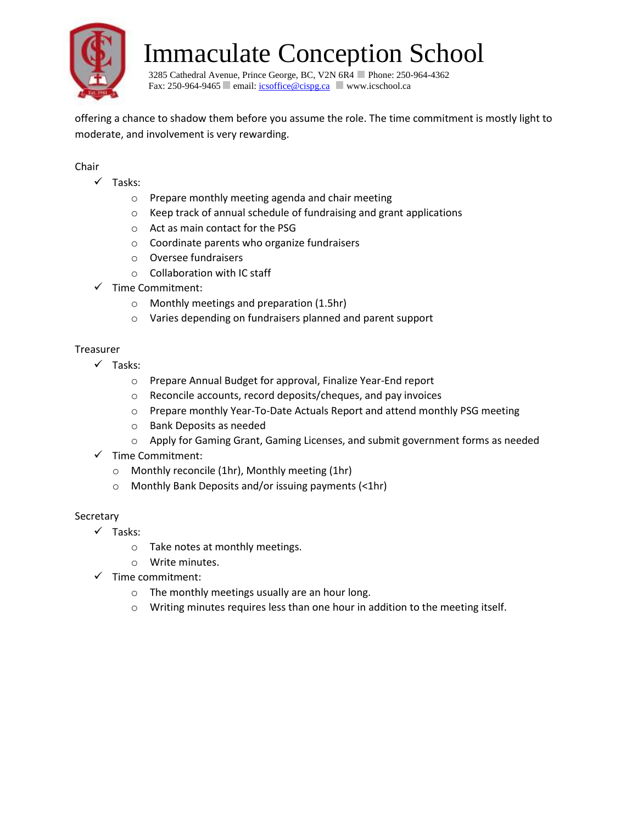

## Immaculate Conception School

3285 Cathedral Avenue, Prince George, BC, V2N 6R4 Phone: 250-964-4362 Fax: 250-964-9465 email: [icsoffice@cispg.ca](mailto:icsoffice@cispg.ca) www.icschool.ca

offering a chance to shadow them before you assume the role. The time commitment is mostly light to moderate, and involvement is very rewarding.

#### Chair

- $\checkmark$  Tasks:
	- o Prepare monthly meeting agenda and chair meeting
	- o Keep track of annual schedule of fundraising and grant applications
	- o Act as main contact for the PSG
	- o Coordinate parents who organize fundraisers
	- o Oversee fundraisers
	- o Collaboration with IC staff
- $\checkmark$  Time Commitment:
	- o Monthly meetings and preparation (1.5hr)
	- o Varies depending on fundraisers planned and parent support

#### Treasurer

- $\checkmark$  Tasks:
	- o Prepare Annual Budget for approval, Finalize Year-End report
	- o Reconcile accounts, record deposits/cheques, and pay invoices
	- o Prepare monthly Year-To-Date Actuals Report and attend monthly PSG meeting
	- o Bank Deposits as needed
	- o Apply for Gaming Grant, Gaming Licenses, and submit government forms as needed
- $\checkmark$  Time Commitment:
	- o Monthly reconcile (1hr), Monthly meeting (1hr)
	- o Monthly Bank Deposits and/or issuing payments (<1hr)

#### **Secretary**

- $\checkmark$  Tasks:
	- o Take notes at monthly meetings.
	- o Write minutes.
- $\checkmark$  Time commitment:
	- o The monthly meetings usually are an hour long.
	- o Writing minutes requires less than one hour in addition to the meeting itself.